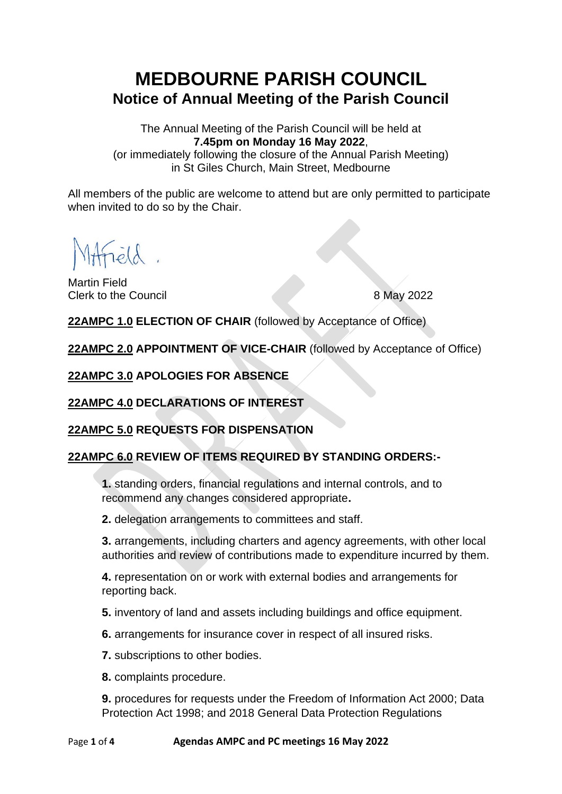## **MEDBOURNE PARISH COUNCIL Notice of Annual Meeting of the Parish Council**

The Annual Meeting of the Parish Council will be held at **7.45pm on Monday 16 May 2022**, (or immediately following the closure of the Annual Parish Meeting) in St Giles Church, Main Street, Medbourne

All members of the public are welcome to attend but are only permitted to participate when invited to do so by the Chair.

Anold.

Martin Field Clerk to the Council 8 May 2022

**22AMPC 1.0 ELECTION OF CHAIR** (followed by Acceptance of Office)

**22AMPC 2.0 APPOINTMENT OF VICE-CHAIR** (followed by Acceptance of Office)

**22AMPC 3.0 APOLOGIES FOR ABSENCE** 

**22AMPC 4.0 DECLARATIONS OF INTEREST** 

**22AMPC 5.0 REQUESTS FOR DISPENSATION** 

#### **22AMPC 6.0 REVIEW OF ITEMS REQUIRED BY STANDING ORDERS:-**

**1.** standing orders, financial regulations and internal controls, and to recommend any changes considered appropriate**.** 

**2.** delegation arrangements to committees and staff.

**3.** arrangements, including charters and agency agreements, with other local authorities and review of contributions made to expenditure incurred by them.

**4.** representation on or work with external bodies and arrangements for reporting back.

**5.** inventory of land and assets including buildings and office equipment.

**6.** arrangements for insurance cover in respect of all insured risks.

**7.** subscriptions to other bodies.

**8.** complaints procedure.

**9.** procedures for requests under the Freedom of Information Act 2000; Data Protection Act 1998; and 2018 General Data Protection Regulations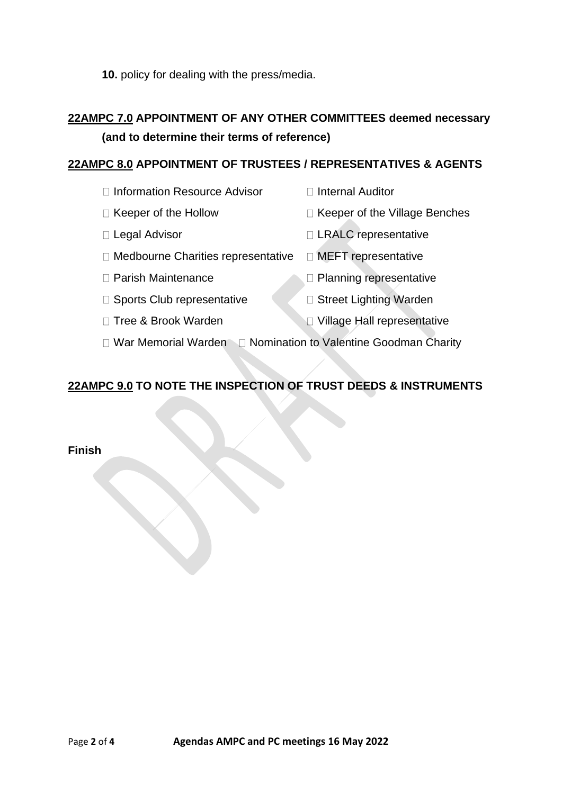**10.** policy for dealing with the press/media.

### **22AMPC 7.0 APPOINTMENT OF ANY OTHER COMMITTEES deemed necessary (and to determine their terms of reference)**

#### **22AMPC 8.0 APPOINTMENT OF TRUSTEES / REPRESENTATIVES & AGENTS**

- $\Box$  Information Resource Advisor  $\Box$  Internal Auditor
- $\Box$  Keeper of the Hollow  $\Box$  Keeper of the Village Benches
- □ Legal Advisor <br>
□ LRALC representative
- $\Box$  Medbourne Charities representative  $\Box$  MEFT representative
- $\Box$  Parish Maintenance  $\Box$  Planning representative
- $\Box$  Sports Club representative  $\Box$  Street Lighting Warden
- 
- □ Tree & Brook Warden Village Hall representative
- □ War Memorial Warden □ Nomination to Valentine Goodman Charity

### **22AMPC 9.0 TO NOTE THE INSPECTION OF TRUST DEEDS & INSTRUMENTS**

**Finish**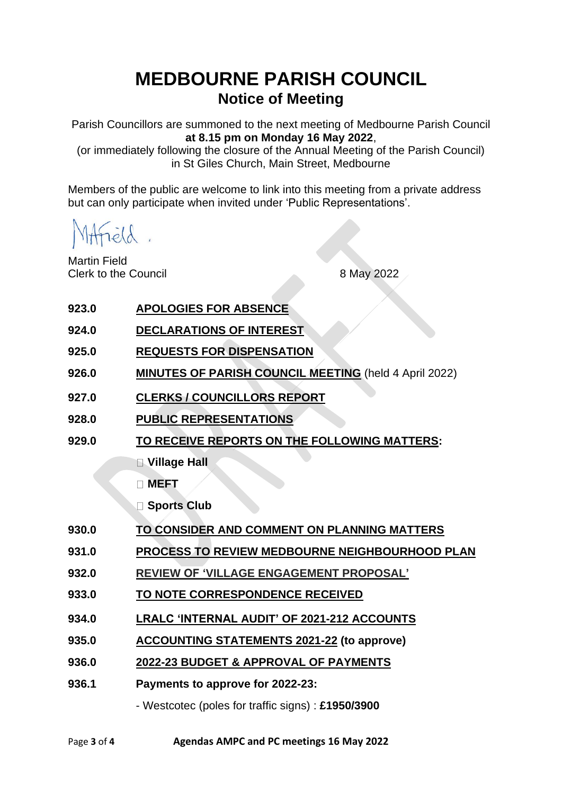# **MEDBOURNE PARISH COUNCIL Notice of Meeting**

Parish Councillors are summoned to the next meeting of Medbourne Parish Council **at 8.15 pm on Monday 16 May 2022**,

(or immediately following the closure of the Annual Meeting of the Parish Council) in St Giles Church, Main Street, Medbourne

Members of the public are welcome to link into this meeting from a private address but can only participate when invited under 'Public Representations'.

Martin Field Clerk to the Council 8 May 2022

- **923.0 APOLOGIES FOR ABSENCE**
- **924.0 DECLARATIONS OF INTEREST**
- **925.0 REQUESTS FOR DISPENSATION**
- **926.0 MINUTES OF PARISH COUNCIL MEETING** (held 4 April 2022)
- **927.0 CLERKS / COUNCILLORS REPORT**
- **928.0 PUBLIC REPRESENTATIONS**
- **929.0 TO RECEIVE REPORTS ON THE FOLLOWING MATTERS:**
	- **Village Hall**
	- **MEFT**
	- **Sports Club**
- **930.0 TO CONSIDER AND COMMENT ON PLANNING MATTERS**
- **931.0 PROCESS TO REVIEW MEDBOURNE NEIGHBOURHOOD PLAN**
- **932.0 REVIEW OF 'VILLAGE ENGAGEMENT PROPOSAL'**
- **933.0 TO NOTE CORRESPONDENCE RECEIVED**
- **934.0 LRALC 'INTERNAL AUDIT' OF 2021-212 ACCOUNTS**
- **935.0 ACCOUNTING STATEMENTS 2021-22 (to approve)**
- **936.0 2022-23 BUDGET & APPROVAL OF PAYMENTS**
- **936.1 Payments to approve for 2022-23:**
	- Westcotec (poles for traffic signs) : **£1950/3900**